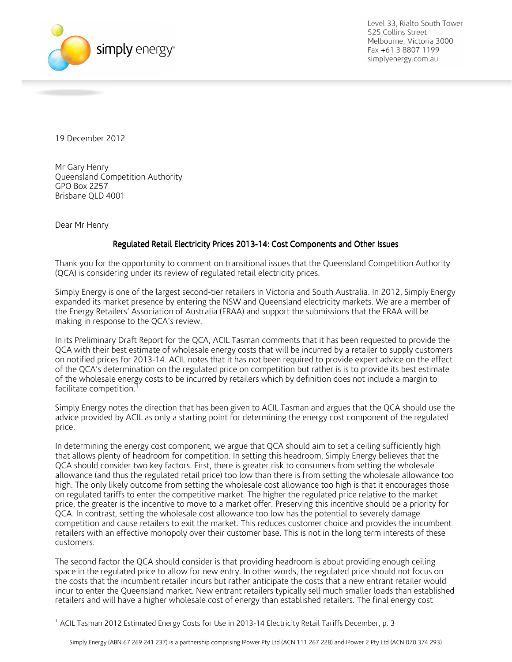

Level 33, Rialto South Tower 525 Collins Street Melbourne, Victoria 3000 Fax +61 3 8807 1199 simplyenergy.com.au

19 December 2012

Mr Gary Henry Queensland Competition Authority GPO Box 2257 Brisbane QLD 4001

Dear Mr Henry

## Regulated Retail Electricity Prices 2013-14: Cost Components and Other Issues

Thank you for the opportunity to comment on transitional issues that the Queensland Competition Authority (QCA) is considering under its review of regulated retail electricity prices.

Simply Energy is one of the largest second-tier retailers in Victoria and South Australia. In 2012, Simply Energy expanded its market presence by entering the NSW and Queensland electricity markets. We are a member of the Energy Retailers' Association of Australia (ERAA) and support the submissions that the ERAA will be making in response to the QCA's review.

In its Preliminary Draft Report for the QCA, ACIL Tasman comments that it has been requested to provide the QCA with their best estimate of wholesale energy costs that will be incurred by a retailer to supply customers on notified prices for 2013-14. ACIL notes that it has not been required to provide expert advice on the effect of the QCA's determination on the regulated price on competition but rather is is to provide its best estimate of the wholesale energy costs to be incurred by retailers which by definition does not include a margin to facilitate competition.<sup>1</sup>

Simply Energy notes the direction that has been given to ACIL Tasman and argues that the QCA should use the advice provided by ACIL as only a starting point for determining the energy cost component of the regulated price.

In determining the energy cost component, we argue that QCA should aim to set a ceiling sufficiently high that allows plenty of headroom for competition. In setting this headroom, Simply Energy believes that the QCA should consider two key factors. First, there is greater risk to consumers from setting the wholesale allowance (and thus the regulated retail price) too low than there is from setting the wholesale allowance too high. The only likely outcome from setting the wholesale cost allowance too high is that it encourages those on regulated tariffs to enter the competitive market. The higher the regulated price relative to the market price, the greater is the incentive to move to a market offer. Preserving this incentive should be a priority for QCA. In contrast, setting the wholesale cost allowance too low has the potential to severely damage competition and cause retailers to exit the market. This reduces customer choice and provides the incumbent retailers with an effective monopoly over their customer base. This is not in the long term interests of these customers.

The second factor the QCA should consider is that providing headroom is about providing enough ceiling space in the regulated price to allow for new entry. In other words, the regulated price should not focus on the costs that the incumbent retailer incurs but rather anticipate the costs that a new entrant retailer would incur to enter the Queensland market. New entrant retailers typically sell much smaller loads than established retailers and will have a higher wholesale cost of energy than established retailers. The final energy cost

 $\overline{a}$ <sup>1</sup> ACIL Tasman 2012 Estimated Energy Costs for Use in 2013-14 Electricity Retail Tariffs December, p. 3